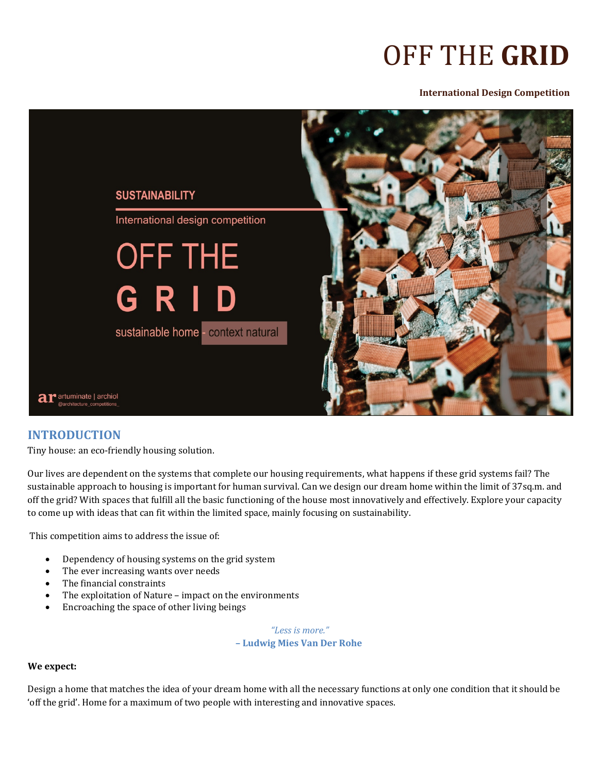# OFF THE **GRID**

#### **International Design Competition**



# **INTRODUCTION**

Tiny house: an eco-friendly housing solution.

Our lives are dependent on the systems that complete our housing requirements, what happens if these grid systems fail? The sustainable approach to housing is important for human survival. Can we design our dream home within the limit of 37sq.m. and off the grid? With spaces that fulfill all the basic functioning of the house most innovatively and effectively. Explore your capacity to come up with ideas that can fit within the limited space, mainly focusing on sustainability.

This competition aims to address the issue of:

- Dependency of housing systems on the grid system
- The ever increasing wants over needs
- The financial constraints
- The exploitation of Nature impact on the environments
- Encroaching the space of other living beings

*"Less is more."*  **– Ludwig Mies Van Der Rohe**

#### **We expect:**

Design a home that matches the idea of your dream home with all the necessary functions at only one condition that it should be 'off the grid'. Home for a maximum of two people with interesting and innovative spaces.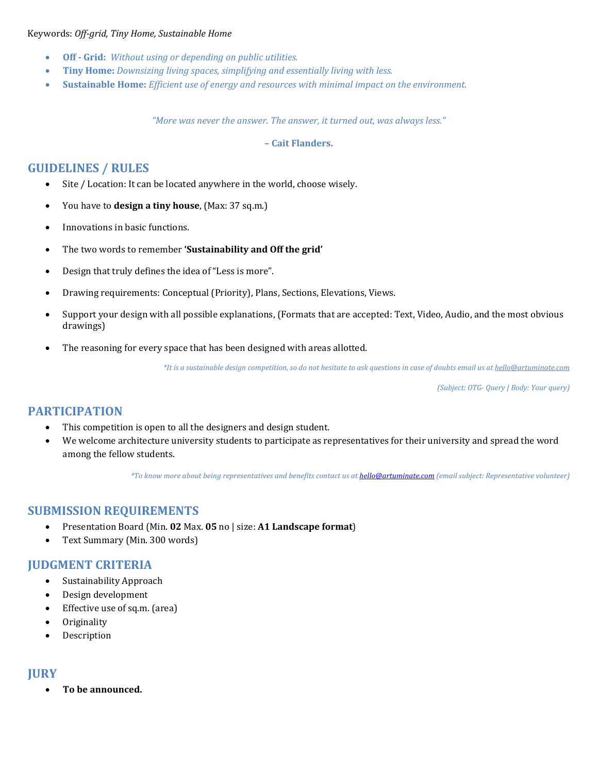#### Keywords: *Off‐grid, Tiny Home, Sustainable Home*

- **Off ‐ Grid:** *Without using or depending on public utilities.*
- **Tiny Home:** *Downsizing living spaces, simplifying and essentially living with less.*
- **Sustainable Home:** *Efficient use of energy and resources with minimal impact on the environment.*

*"More was never the answer. The answer, it turned out, was always less."* 

#### **– Cait Flanders.**

# **GUIDELINES / RULES**

- Site / Location: It can be located anywhere in the world, choose wisely.
- You have to **design a tiny house**, (Max: 37 sq.m.)
- Innovations in basic functions.
- The two words to remember **'Sustainability and Off the grid'**
- Design that truly defines the idea of "Less is more".
- Drawing requirements: Conceptual (Priority), Plans, Sections, Elevations, Views.
- Support your design with all possible explanations, (Formats that are accepted: Text, Video, Audio, and the most obvious drawings)
- The reasoning for every space that has been designed with areas allotted.

\*It is a sustainable design competition, so do not hesitate to ask questions in case of doubts email us at hello@artuminate.com

*(Subject: OTG‐ Query | Body: Your query)*

# **PARTICIPATION**

- This competition is open to all the designers and design student.
- We welcome architecture university students to participate as representatives for their university and spread the word among the fellow students.

\*To know more about being representatives and benefits contact us at hello@artuminate.com (email subject: Representative volunteer)

# **SUBMISSION REQUIREMENTS**

- Presentation Board (Min. **02** Max. **05** no | size: **A1 Landscape format**)
- Text Summary (Min. 300 words)

## **JUDGMENT CRITERIA**

- Sustainability Approach
- Design development
- Effective use of sq.m. (area)
- Originality
- Description

## **JURY**

**To be announced.**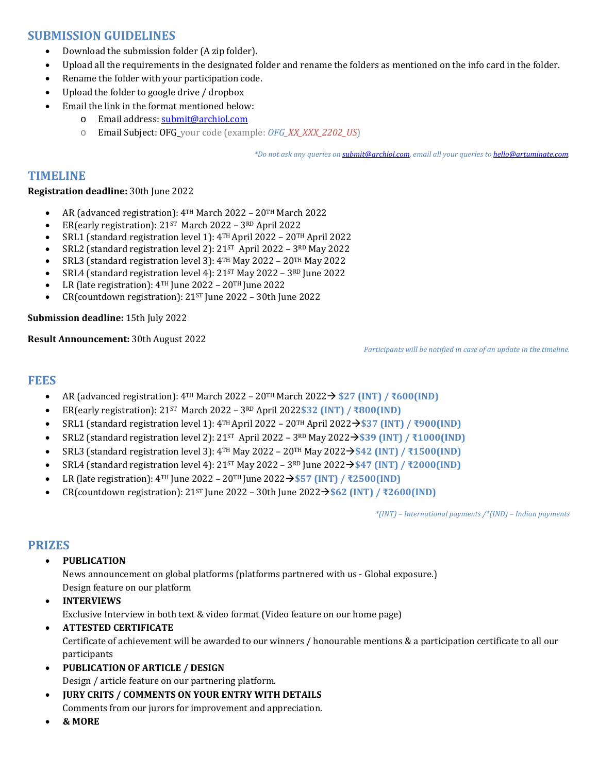# **SUBMISSION GUIDELINES**

- Download the submission folder (A zip folder).
- Upload all the requirements in the designated folder and rename the folders as mentioned on the info card in the folder.
- Rename the folder with your participation code.
- Upload the folder to google drive / dropbox
- Email the link in the format mentioned below:
	- o Email address: submit@archiol.com
	- o Email Subject: OFG\_your code (example: *OFG\_XX\_XXX\_2202\_US*)

*\*Do not ask any queries on submit@archiol.com, email all your queries to hello@artuminate.com.*

## **TIMELINE**

#### **Registration deadline:** 30th June 2022

- AR (advanced registration): 4TH March 2022 20TH March 2022
- ER(early registration):  $21^{ST}$  March 2022  $3^{RD}$  April 2022
- SRL1 (standard registration level 1): 4TH April 2022 20TH April 2022
- SRL2 (standard registration level 2): 21ST April 2022 3RD May 2022
- SRL3 (standard registration level 3): 4TH May 2022 20TH May 2022
- SRL4 (standard registration level 4):  $21^{ST}$  May 2022  $3^{RD}$  June 2022
- LR (late registration):  $4^{TH}$  June 2022 20<sup>TH</sup> June 2022
- CR(countdown registration): 21ST June 2022 30th June 2022

#### **Submission deadline:** 15th July 2022

**Result Announcement:** 30th August 2022

*Participants will be notified in case of an update in the timeline.*

## **FEES**

- $\bullet$  AR (advanced registration): 4TH March 2022 20TH March 2022→ \$27 (INT) / ₹600(IND)
- ER(early registration): 21ST March 2022 3RD April 2022**\$32 (INT) / ₹800(IND)**
- $\bullet$  SRL1 (standard registration level 1):  $4^{TH}$  April 2022 20<sup>TH</sup> April 2022 → \$37 (INT) / ₹900(IND)
- SRL2 (standard registration level 2): 21ST April 2022 3RD May 2022**\$39 (INT) / ₹1000(IND)**
- SRL3 (standard registration level 3): 4TH May 2022 20TH May 2022**\$42 (INT) / ₹1500(IND)**
- **•** SRL4 (standard registration level 4):  $21^{ST}$  May  $2022 3^{RD}$  June  $2022 \rightarrow $47$  (INT) / ₹2000(IND)
- LR (late registration): 4TH June 2022 20TH June 2022**\$57 (INT) / ₹2500(IND)**
- CR(countdown registration):  $21^{ST}$  June  $2022 30$ th June  $2022 \rightarrow $62$  (INT) / $\overline{2}2600$ (IND)

*\*(INT) – International payments /\*(IND) – Indian payments*

## **PRIZES**

**PUBLICATION**

News announcement on global platforms (platforms partnered with us - Global exposure.) Design feature on our platform

- **INTERVIEWS** Exclusive Interview in both text & video format (Video feature on our home page)
- **ATTESTED CERTIFICATE** Certificate of achievement will be awarded to our winners / honourable mentions & a participation certificate to all our participants
- **PUBLICATION OF ARTICLE / DESIGN**
	- Design / article feature on our partnering platform.
- **JURY CRITS / COMMENTS ON YOUR ENTRY WITH DETAILS**
- Comments from our jurors for improvement and appreciation.
- **& MORE**